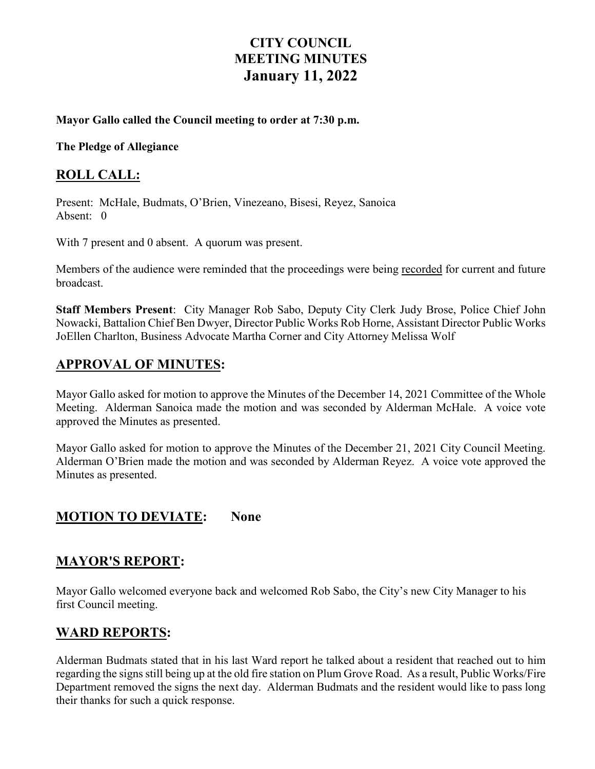# **CITY COUNCIL MEETING MINUTES January 11, 2022**

#### **Mayor Gallo called the Council meeting to order at 7:30 p.m.**

**The Pledge of Allegiance** 

### **ROLL CALL:**

Present: McHale, Budmats, O'Brien, Vinezeano, Bisesi, Reyez, Sanoica Absent: 0

With 7 present and 0 absent. A quorum was present.

Members of the audience were reminded that the proceedings were being recorded for current and future broadcast.

**Staff Members Present**: City Manager Rob Sabo, Deputy City Clerk Judy Brose, Police Chief John Nowacki, Battalion Chief Ben Dwyer, Director Public Works Rob Horne, Assistant Director Public Works JoEllen Charlton, Business Advocate Martha Corner and City Attorney Melissa Wolf

### **APPROVAL OF MINUTES:**

Mayor Gallo asked for motion to approve the Minutes of the December 14, 2021 Committee of the Whole Meeting. Alderman Sanoica made the motion and was seconded by Alderman McHale. A voice vote approved the Minutes as presented.

Mayor Gallo asked for motion to approve the Minutes of the December 21, 2021 City Council Meeting. Alderman O'Brien made the motion and was seconded by Alderman Reyez. A voice vote approved the Minutes as presented.

### **MOTION TO DEVIATE: None**

### **MAYOR'S REPORT:**

Mayor Gallo welcomed everyone back and welcomed Rob Sabo, the City's new City Manager to his first Council meeting.

### **WARD REPORTS:**

Alderman Budmats stated that in his last Ward report he talked about a resident that reached out to him regarding the signs still being up at the old fire station on Plum Grove Road. As a result, Public Works/Fire Department removed the signs the next day. Alderman Budmats and the resident would like to pass long their thanks for such a quick response.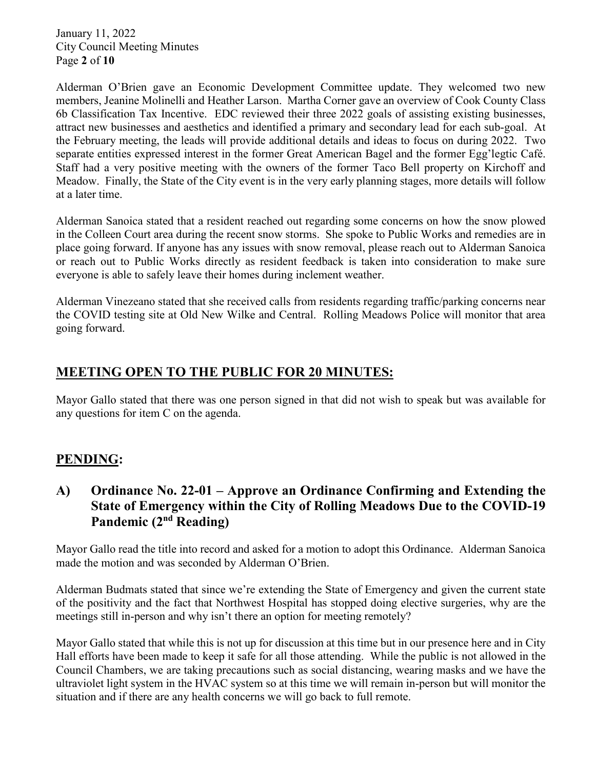January 11, 2022 City Council Meeting Minutes Page **2** of **10**

Alderman O'Brien gave an Economic Development Committee update. They welcomed two new members, Jeanine Molinelli and Heather Larson. Martha Corner gave an overview of Cook County Class 6b Classification Tax Incentive. EDC reviewed their three 2022 goals of assisting existing businesses, attract new businesses and aesthetics and identified a primary and secondary lead for each sub-goal. At the February meeting, the leads will provide additional details and ideas to focus on during 2022. Two separate entities expressed interest in the former Great American Bagel and the former Egg'legtic Café. Staff had a very positive meeting with the owners of the former Taco Bell property on Kirchoff and Meadow. Finally, the State of the City event is in the very early planning stages, more details will follow at a later time.

Alderman Sanoica stated that a resident reached out regarding some concerns on how the snow plowed in the Colleen Court area during the recent snow storms. She spoke to Public Works and remedies are in place going forward. If anyone has any issues with snow removal, please reach out to Alderman Sanoica or reach out to Public Works directly as resident feedback is taken into consideration to make sure everyone is able to safely leave their homes during inclement weather.

Alderman Vinezeano stated that she received calls from residents regarding traffic/parking concerns near the COVID testing site at Old New Wilke and Central. Rolling Meadows Police will monitor that area going forward.

## **MEETING OPEN TO THE PUBLIC FOR 20 MINUTES:**

Mayor Gallo stated that there was one person signed in that did not wish to speak but was available for any questions for item C on the agenda.

## **PENDING:**

## **A) Ordinance No. 22-01 – Approve an Ordinance Confirming and Extending the State of Emergency within the City of Rolling Meadows Due to the COVID-19 Pandemic (2nd Reading)**

Mayor Gallo read the title into record and asked for a motion to adopt this Ordinance. Alderman Sanoica made the motion and was seconded by Alderman O'Brien.

Alderman Budmats stated that since we're extending the State of Emergency and given the current state of the positivity and the fact that Northwest Hospital has stopped doing elective surgeries, why are the meetings still in-person and why isn't there an option for meeting remotely?

Mayor Gallo stated that while this is not up for discussion at this time but in our presence here and in City Hall efforts have been made to keep it safe for all those attending. While the public is not allowed in the Council Chambers, we are taking precautions such as social distancing, wearing masks and we have the ultraviolet light system in the HVAC system so at this time we will remain in-person but will monitor the situation and if there are any health concerns we will go back to full remote.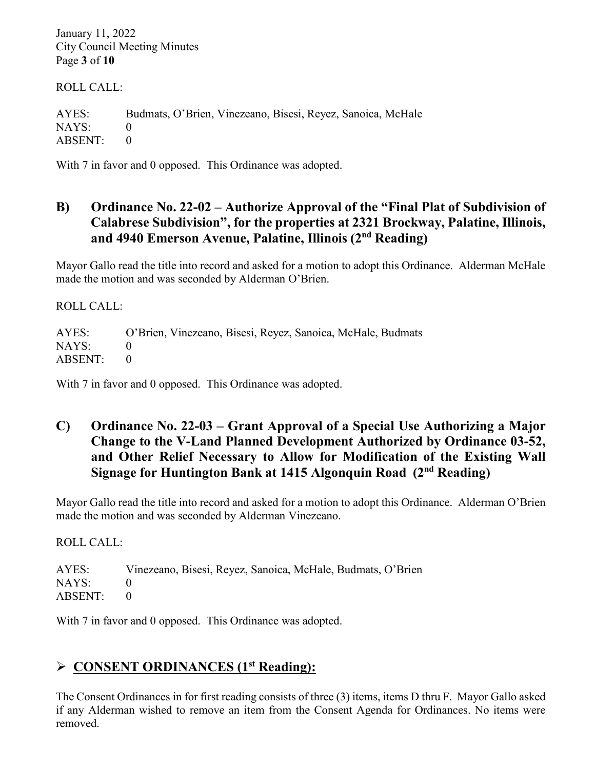January 11, 2022 City Council Meeting Minutes Page **3** of **10**

ROLL CALL:

AYES: Budmats, O'Brien, Vinezeano, Bisesi, Reyez, Sanoica, McHale NAYS: 0 ABSENT: 0

With 7 in favor and 0 opposed. This Ordinance was adopted.

## **B) Ordinance No. 22-02 – Authorize Approval of the "Final Plat of Subdivision of Calabrese Subdivision", for the properties at 2321 Brockway, Palatine, Illinois, and 4940 Emerson Avenue, Palatine, Illinois (2nd Reading)**

Mayor Gallo read the title into record and asked for a motion to adopt this Ordinance. Alderman McHale made the motion and was seconded by Alderman O'Brien.

ROLL CALL:

AYES: O'Brien, Vinezeano, Bisesi, Reyez, Sanoica, McHale, Budmats NAYS: 0 ABSENT: 0

With 7 in favor and 0 opposed. This Ordinance was adopted.

## **C) Ordinance No. 22-03 – Grant Approval of a Special Use Authorizing a Major Change to the V-Land Planned Development Authorized by Ordinance 03-52, and Other Relief Necessary to Allow for Modification of the Existing Wall Signage for Huntington Bank at 1415 Algonquin Road (2nd Reading)**

Mayor Gallo read the title into record and asked for a motion to adopt this Ordinance. Alderman O'Brien made the motion and was seconded by Alderman Vinezeano.

ROLL CALL:

AYES: Vinezeano, Bisesi, Reyez, Sanoica, McHale, Budmats, O'Brien NAYS: 0 ABSENT: 0

With 7 in favor and 0 opposed. This Ordinance was adopted.

## **CONSENT ORDINANCES (1st Reading):**

The Consent Ordinances in for first reading consists of three (3) items, items D thru F. Mayor Gallo asked if any Alderman wished to remove an item from the Consent Agenda for Ordinances. No items were removed.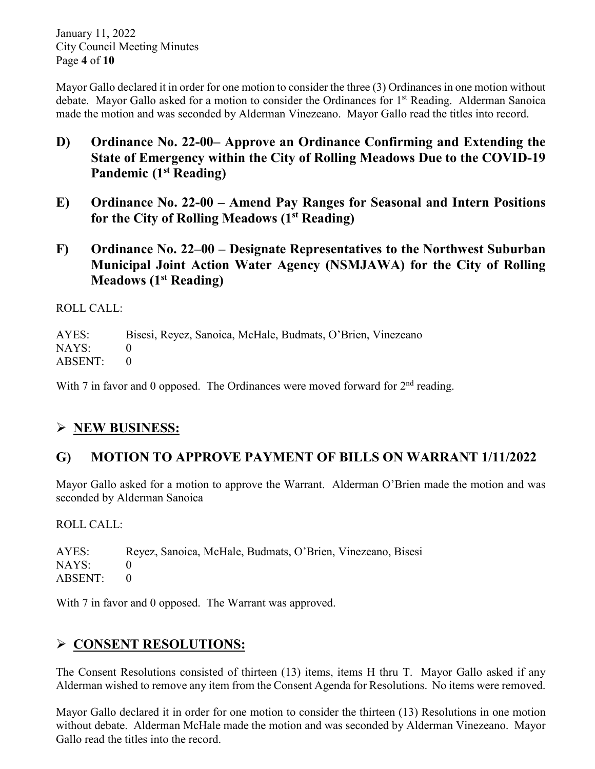January 11, 2022 City Council Meeting Minutes Page **4** of **10**

Mayor Gallo declared it in order for one motion to consider the three (3) Ordinances in one motion without debate. Mayor Gallo asked for a motion to consider the Ordinances for 1<sup>st</sup> Reading. Alderman Sanoica made the motion and was seconded by Alderman Vinezeano. Mayor Gallo read the titles into record.

- **D) Ordinance No. 22-00– Approve an Ordinance Confirming and Extending the State of Emergency within the City of Rolling Meadows Due to the COVID-19 Pandemic (1st Reading)**
- **E) Ordinance No. 22-00 – Amend Pay Ranges for Seasonal and Intern Positions for the City of Rolling Meadows (1st Reading)**
- **F) Ordinance No. 22–00 – Designate Representatives to the Northwest Suburban Municipal Joint Action Water Agency (NSMJAWA) for the City of Rolling Meadows (1st Reading)**

ROLL CALL:

AYES: Bisesi, Reyez, Sanoica, McHale, Budmats, O'Brien, Vinezeano NAYS: 0 ABSENT: 0

With 7 in favor and 0 opposed. The Ordinances were moved forward for  $2<sup>nd</sup>$  reading.

## **NEW BUSINESS:**

## **G) MOTION TO APPROVE PAYMENT OF BILLS ON WARRANT 1/11/2022**

Mayor Gallo asked for a motion to approve the Warrant. Alderman O'Brien made the motion and was seconded by Alderman Sanoica

ROLL CALL:

AYES: Reyez, Sanoica, McHale, Budmats, O'Brien, Vinezeano, Bisesi NAYS: 0 ABSENT: 0

With 7 in favor and 0 opposed. The Warrant was approved.

## **CONSENT RESOLUTIONS:**

The Consent Resolutions consisted of thirteen (13) items, items H thru T. Mayor Gallo asked if any Alderman wished to remove any item from the Consent Agenda for Resolutions. No items were removed.

Mayor Gallo declared it in order for one motion to consider the thirteen (13) Resolutions in one motion without debate. Alderman McHale made the motion and was seconded by Alderman Vinezeano. Mayor Gallo read the titles into the record.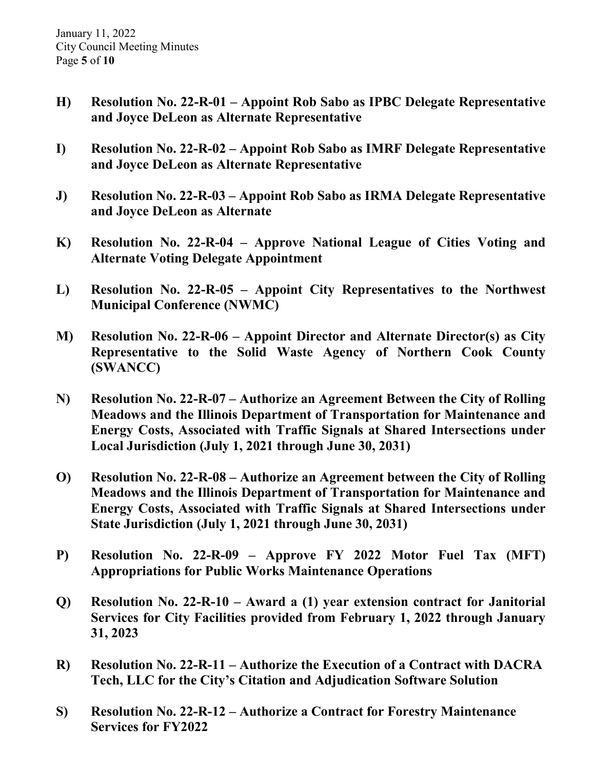- **H) Resolution No. 22-R-01 – Appoint Rob Sabo as IPBC Delegate Representative and Joyce DeLeon as Alternate Representative**
- **I) Resolution No. 22-R-02 – Appoint Rob Sabo as IMRF Delegate Representative and Joyce DeLeon as Alternate Representative**
- **J) Resolution No. 22-R-03 – Appoint Rob Sabo as IRMA Delegate Representative and Joyce DeLeon as Alternate**
- **K) Resolution No. 22-R-04 – Approve National League of Cities Voting and Alternate Voting Delegate Appointment**
- **L) Resolution No. 22-R-05 – Appoint City Representatives to the Northwest Municipal Conference (NWMC)**
- **M) Resolution No. 22-R-06 – Appoint Director and Alternate Director(s) as City Representative to the Solid Waste Agency of Northern Cook County (SWANCC)**
- **N) Resolution No. 22-R-07 – Authorize an Agreement Between the City of Rolling Meadows and the Illinois Department of Transportation for Maintenance and Energy Costs, Associated with Traffic Signals at Shared Intersections under Local Jurisdiction (July 1, 2021 through June 30, 2031)**
- **O) Resolution No. 22-R-08 – Authorize an Agreement between the City of Rolling Meadows and the Illinois Department of Transportation for Maintenance and Energy Costs, Associated with Traffic Signals at Shared Intersections under State Jurisdiction (July 1, 2021 through June 30, 2031)**
- **P) Resolution No. 22-R-09 – Approve FY 2022 Motor Fuel Tax (MFT) Appropriations for Public Works Maintenance Operations**
- **Q) Resolution No. 22-R-10 – Award a (1) year extension contract for Janitorial Services for City Facilities provided from February 1, 2022 through January 31, 2023**
- **R) Resolution No. 22-R-11 – Authorize the Execution of a Contract with DACRA Tech, LLC for the City's Citation and Adjudication Software Solution**
- **S) Resolution No. 22-R-12 – Authorize a Contract for Forestry Maintenance Services for FY2022**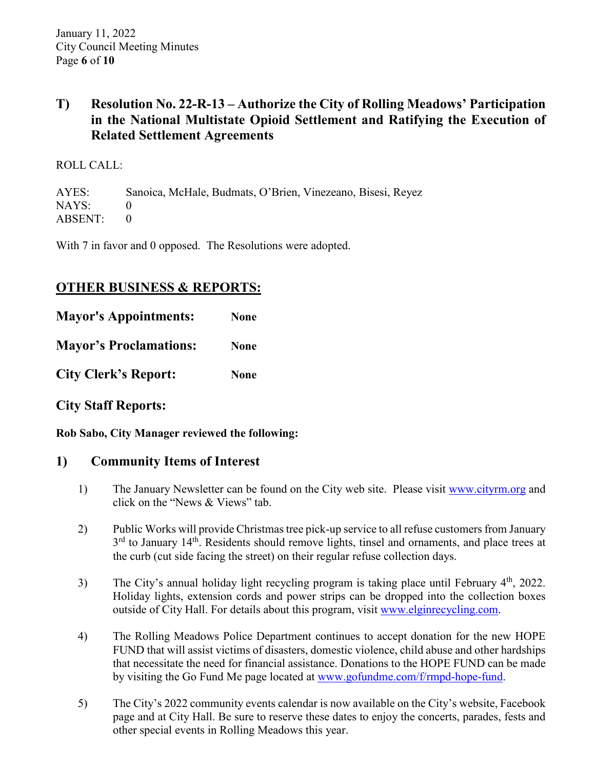## **T) Resolution No. 22-R-13 – Authorize the City of Rolling Meadows' Participation in the National Multistate Opioid Settlement and Ratifying the Execution of Related Settlement Agreements**

#### ROLL CALL:

AYES: Sanoica, McHale, Budmats, O'Brien, Vinezeano, Bisesi, Reyez NAYS: 0 ABSENT: 0

With 7 in favor and 0 opposed. The Resolutions were adopted.

## **OTHER BUSINESS & REPORTS:**

| <b>Mayor's Appointments:</b>  | <b>None</b> |
|-------------------------------|-------------|
| <b>Mayor's Proclamations:</b> | <b>None</b> |
| <b>City Clerk's Report:</b>   | <b>None</b> |

**City Staff Reports:** 

**Rob Sabo, City Manager reviewed the following:** 

### **1) Community Items of Interest**

- 1) The January Newsletter can be found on the City web site. Please visit [www.cityrm.org](http://www.cityrm.org/) and click on the "News & Views" tab.
- 2) Public Works will provide Christmas tree pick-up service to all refuse customers from January  $3<sup>rd</sup>$  to January 14<sup>th</sup>. Residents should remove lights, tinsel and ornaments, and place trees at the curb (cut side facing the street) on their regular refuse collection days.
- 3) The City's annual holiday light recycling program is taking place until February  $4<sup>th</sup>$ , 2022. Holiday lights, extension cords and power strips can be dropped into the collection boxes outside of City Hall. For details about this program, visit [www.elginrecycling.com.](http://www.elginrecycling.com/)
- 4) The Rolling Meadows Police Department continues to accept donation for the new HOPE FUND that will assist victims of disasters, domestic violence, child abuse and other hardships that necessitate the need for financial assistance. Donations to the HOPE FUND can be made by visiting the Go Fund Me page located at [www.gofundme.com/f/rmpd-hope-fund.](http://www.gofundme.com/f/rmpd-hope-fund)
- 5) The City's 2022 community events calendar is now available on the City's website, Facebook page and at City Hall. Be sure to reserve these dates to enjoy the concerts, parades, fests and other special events in Rolling Meadows this year.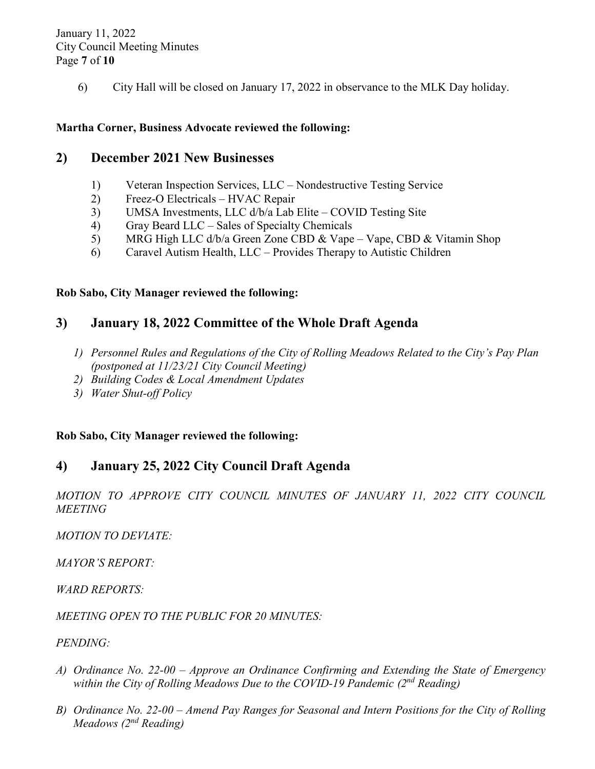January 11, 2022 City Council Meeting Minutes Page **7** of **10**

6) City Hall will be closed on January 17, 2022 in observance to the MLK Day holiday.

#### **Martha Corner, Business Advocate reviewed the following:**

#### **2) December 2021 New Businesses**

- 1) Veteran Inspection Services, LLC Nondestructive Testing Service
- 2) Freez-O Electricals HVAC Repair
- 3) UMSA Investments, LLC d/b/a Lab Elite COVID Testing Site
- 4) Gray Beard LLC Sales of Specialty Chemicals
- 5) MRG High LLC d/b/a Green Zone CBD & Vape Vape, CBD & Vitamin Shop
- 6) Caravel Autism Health, LLC Provides Therapy to Autistic Children

#### **Rob Sabo, City Manager reviewed the following:**

#### **3) January 18, 2022 Committee of the Whole Draft Agenda**

- *1) Personnel Rules and Regulations of the City of Rolling Meadows Related to the City's Pay Plan (postponed at 11/23/21 City Council Meeting)*
- *2) Building Codes & Local Amendment Updates*
- *3) Water Shut-off Policy*

#### **Rob Sabo, City Manager reviewed the following:**

### **4) January 25, 2022 City Council Draft Agenda**

*MOTION TO APPROVE CITY COUNCIL MINUTES OF JANUARY 11, 2022 CITY COUNCIL MEETING* 

*MOTION TO DEVIATE:* 

*MAYOR'S REPORT:*

*WARD REPORTS:*

*MEETING OPEN TO THE PUBLIC FOR 20 MINUTES:* 

#### *PENDING:*

- *A) Ordinance No. 22-00 – Approve an Ordinance Confirming and Extending the State of Emergency within the City of Rolling Meadows Due to the COVID-19 Pandemic (2nd Reading)*
- *B) Ordinance No. 22-00 – Amend Pay Ranges for Seasonal and Intern Positions for the City of Rolling Meadows (2nd Reading)*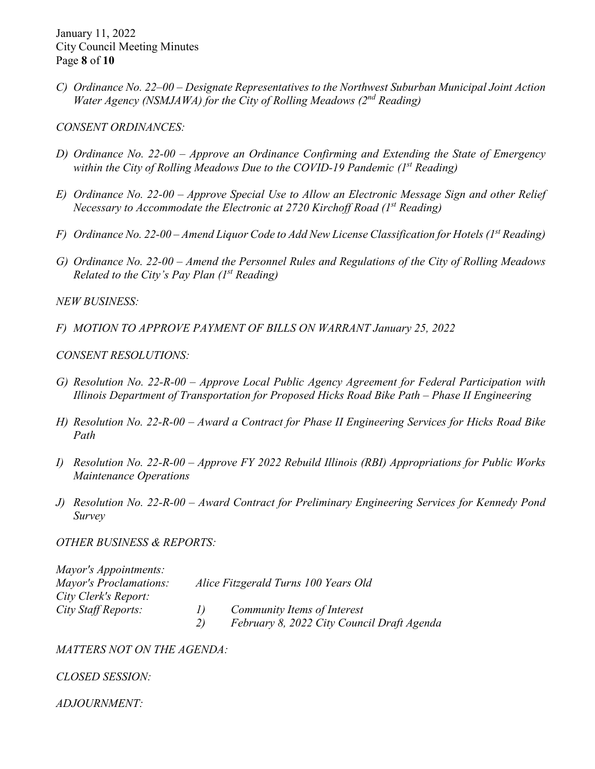January 11, 2022 City Council Meeting Minutes Page **8** of **10**

*C) Ordinance No. 22–00 – Designate Representatives to the Northwest Suburban Municipal Joint Action Water Agency (NSMJAWA) for the City of Rolling Meadows (2nd Reading)*

*CONSENT ORDINANCES:* 

- *D) Ordinance No. 22-00 – Approve an Ordinance Confirming and Extending the State of Emergency within the City of Rolling Meadows Due to the COVID-19 Pandemic (1st Reading)*
- *E) Ordinance No. 22-00 – Approve Special Use to Allow an Electronic Message Sign and other Relief Necessary to Accommodate the Electronic at 2720 Kirchoff Road (1st Reading)*
- *F) Ordinance No. 22-00 Amend Liquor Code to Add New License Classification for Hotels (1st Reading)*
- *G) Ordinance No. 22-00 – Amend the Personnel Rules and Regulations of the City of Rolling Meadows Related to the City's Pay Plan (1st Reading)*

*NEW BUSINESS:*

*F) MOTION TO APPROVE PAYMENT OF BILLS ON WARRANT January 25, 2022*

*CONSENT RESOLUTIONS:*

- *G) Resolution No. 22-R-00 – Approve Local Public Agency Agreement for Federal Participation with Illinois Department of Transportation for Proposed Hicks Road Bike Path – Phase II Engineering*
- *H) Resolution No. 22-R-00 – Award a Contract for Phase II Engineering Services for Hicks Road Bike Path*
- *I) Resolution No. 22-R-00 – Approve FY 2022 Rebuild Illinois (RBI) Appropriations for Public Works Maintenance Operations*
- *J) Resolution No. 22-R-00 – Award Contract for Preliminary Engineering Services for Kennedy Pond Survey*

*OTHER BUSINESS & REPORTS:* 

| Mayor's Appointments:         |                                      |                                            |
|-------------------------------|--------------------------------------|--------------------------------------------|
| <b>Mayor's Proclamations:</b> | Alice Fitzgerald Turns 100 Years Old |                                            |
| City Clerk's Report:          |                                      |                                            |
| City Staff Reports:           |                                      | Community Items of Interest                |
|                               | 2)                                   | February 8, 2022 City Council Draft Agenda |

*MATTERS NOT ON THE AGENDA:*

*CLOSED SESSION:*

*ADJOURNMENT:*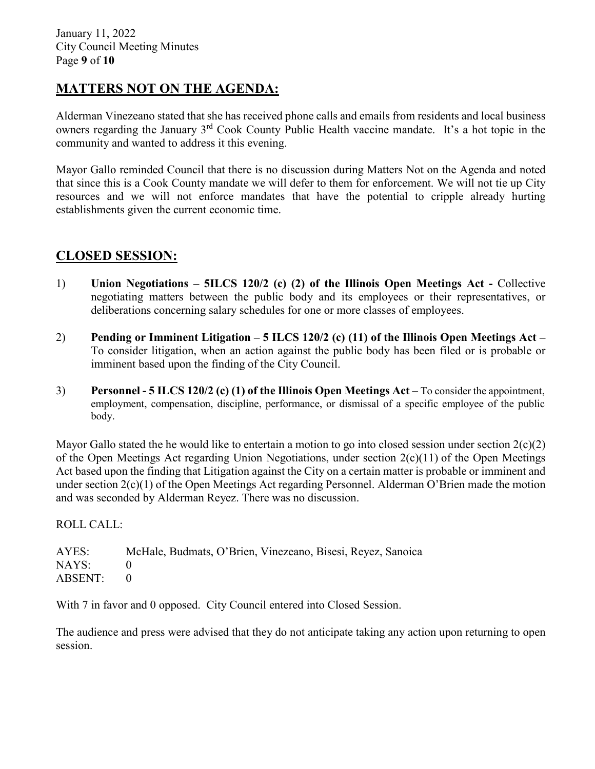## **MATTERS NOT ON THE AGENDA:**

Alderman Vinezeano stated that she has received phone calls and emails from residents and local business owners regarding the January 3rd Cook County Public Health vaccine mandate. It's a hot topic in the community and wanted to address it this evening.

Mayor Gallo reminded Council that there is no discussion during Matters Not on the Agenda and noted that since this is a Cook County mandate we will defer to them for enforcement. We will not tie up City resources and we will not enforce mandates that have the potential to cripple already hurting establishments given the current economic time.

#### **CLOSED SESSION:**

- 1) **Union Negotiations – 5ILCS 120/2 (c) (2) of the Illinois Open Meetings Act -** Collective negotiating matters between the public body and its employees or their representatives, or deliberations concerning salary schedules for one or more classes of employees.
- 2) **Pending or Imminent Litigation – 5 ILCS 120/2 (c) (11) of the Illinois Open Meetings Act –** To consider litigation, when an action against the public body has been filed or is probable or imminent based upon the finding of the City Council.
- 3) **Personnel - 5 ILCS 120/2 (c) (1) of the Illinois Open Meetings Act** To consider the appointment, employment, compensation, discipline, performance, or dismissal of a specific employee of the public body.

Mayor Gallo stated the he would like to entertain a motion to go into closed session under section  $2(c)(2)$ of the Open Meetings Act regarding Union Negotiations, under section  $2(c)(11)$  of the Open Meetings Act based upon the finding that Litigation against the City on a certain matter is probable or imminent and under section 2(c)(1) of the Open Meetings Act regarding Personnel. Alderman O'Brien made the motion and was seconded by Alderman Reyez. There was no discussion.

ROLL CALL:

AYES: McHale, Budmats, O'Brien, Vinezeano, Bisesi, Reyez, Sanoica NAYS: 0 ABSENT: 0

With 7 in favor and 0 opposed. City Council entered into Closed Session.

The audience and press were advised that they do not anticipate taking any action upon returning to open session.